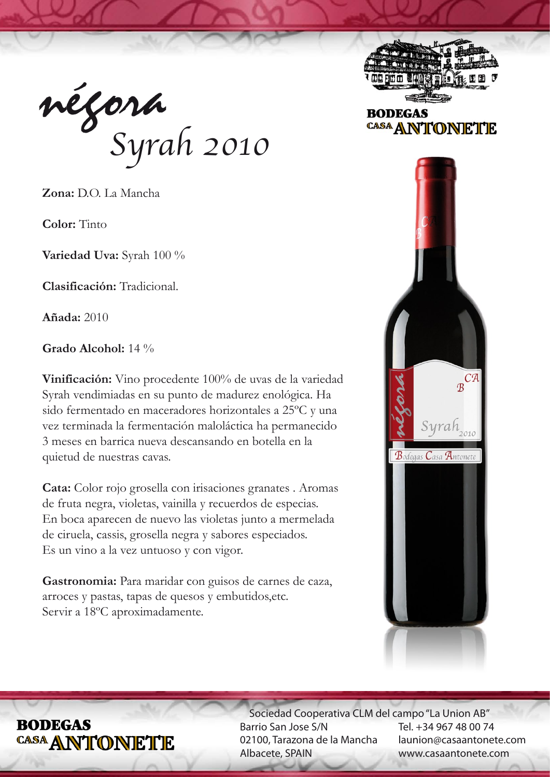négora *Syrah 2010*

**Zona:** D.O. La Mancha

**Color:** Tinto

**Variedad Uva:** Syrah 100 %

**Clasificación:** Tradicional.

**Añada:** 2010

**Grado Alcohol:** 14 %

**Vinificación:** Vino procedente 100% de uvas de la variedad Syrah vendimiadas en su punto de madurez enológica. Ha sido fermentado en maceradores horizontales a 25ºC y una vez terminada la fermentación maloláctica ha permanecido 3 meses en barrica nueva descansando en botella en la quietud de nuestras cavas.

**Cata:** Color rojo grosella con irisaciones granates . Aromas de fruta negra, violetas, vainilla y recuerdos de especias. En boca aparecen de nuevo las violetas junto a mermelada de ciruela, cassis, grosella negra y sabores especiados. Es un vino a la vez untuoso y con vigor.

Gastronomia: Para maridar con guisos de carnes de caza, arroces y pastas, tapas de quesos y embutidos,etc. Servir a 18ºC aproximadamente.



**BODEGAS** CASA ANTONETTE



# **RODEGAS** CASA ANTONETTE

 Sociedad Cooperativa CLM del campo "La Union AB" Barrio San Jose S/N 02100, Tarazona de la Mancha Albacete, SPAIN

Tel. +34 967 48 00 74 launion@casaantonete.com www.casaantonete.com